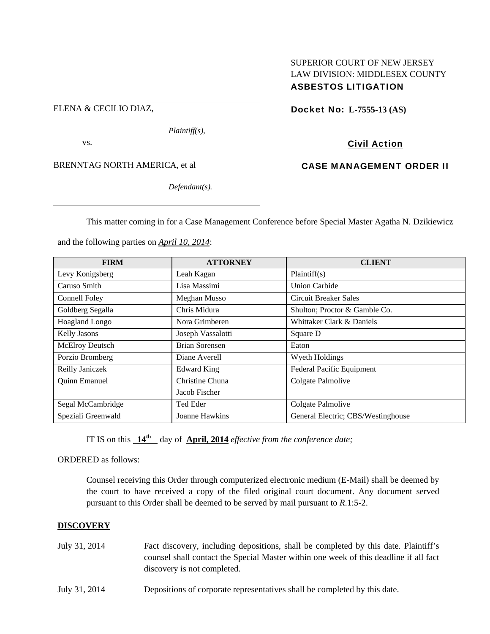# SUPERIOR COURT OF NEW JERSEY LAW DIVISION: MIDDLESEX COUNTY ASBESTOS LITIGATION

ELENA & CECILIO DIAZ,

*Plaintiff(s),* 

vs.

BRENNTAG NORTH AMERICA, et al

*Defendant(s).* 

Docket No: **L-7555-13 (AS)** 

Civil Action

CASE MANAGEMENT ORDER II

This matter coming in for a Case Management Conference before Special Master Agatha N. Dzikiewicz

and the following parties on *April 10, 2014*:

| <b>FIRM</b>         | <b>ATTORNEY</b>    | <b>CLIENT</b>                      |
|---------------------|--------------------|------------------------------------|
| Levy Konigsberg     | Leah Kagan         | Plaintiff(s)                       |
| Caruso Smith        | Lisa Massimi       | <b>Union Carbide</b>               |
| Connell Foley       | Meghan Musso       | Circuit Breaker Sales              |
| Goldberg Segalla    | Chris Midura       | Shulton; Proctor & Gamble Co.      |
| Hoagland Longo      | Nora Grimberen     | Whittaker Clark & Daniels          |
| <b>Kelly Jasons</b> | Joseph Vassalotti  | Square D                           |
| McElroy Deutsch     | Brian Sorensen     | Eaton                              |
| Porzio Bromberg     | Diane Averell      | Wyeth Holdings                     |
| Reilly Janiczek     | <b>Edward King</b> | Federal Pacific Equipment          |
| Quinn Emanuel       | Christine Chuna    | Colgate Palmolive                  |
|                     | Jacob Fischer      |                                    |
| Segal McCambridge   | Ted Eder           | Colgate Palmolive                  |
| Speziali Greenwald  | Joanne Hawkins     | General Electric; CBS/Westinghouse |

IT IS on this  $14^{\text{th}}$  day of **April, 2014** *effective from the conference date*;

ORDERED as follows:

Counsel receiving this Order through computerized electronic medium (E-Mail) shall be deemed by the court to have received a copy of the filed original court document. Any document served pursuant to this Order shall be deemed to be served by mail pursuant to *R*.1:5-2.

## **DISCOVERY**

- July 31, 2014 Fact discovery, including depositions, shall be completed by this date. Plaintiff's counsel shall contact the Special Master within one week of this deadline if all fact discovery is not completed.
- July 31, 2014 Depositions of corporate representatives shall be completed by this date.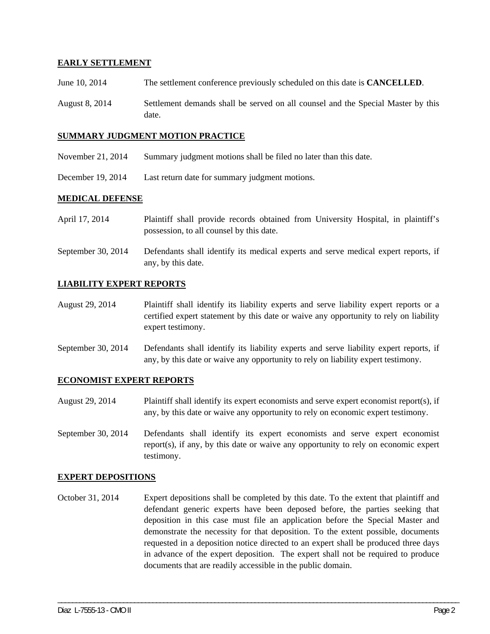## **EARLY SETTLEMENT**

- June 10, 2014 The settlement conference previously scheduled on this date is **CANCELLED**.
- August 8, 2014 Settlement demands shall be served on all counsel and the Special Master by this date.

#### **SUMMARY JUDGMENT MOTION PRACTICE**

- November 21, 2014 Summary judgment motions shall be filed no later than this date.
- December 19, 2014 Last return date for summary judgment motions.

#### **MEDICAL DEFENSE**

- April 17, 2014 Plaintiff shall provide records obtained from University Hospital, in plaintiff's possession, to all counsel by this date.
- September 30, 2014 Defendants shall identify its medical experts and serve medical expert reports, if any, by this date.

## **LIABILITY EXPERT REPORTS**

- August 29, 2014 Plaintiff shall identify its liability experts and serve liability expert reports or a certified expert statement by this date or waive any opportunity to rely on liability expert testimony.
- September 30, 2014 Defendants shall identify its liability experts and serve liability expert reports, if any, by this date or waive any opportunity to rely on liability expert testimony.

## **ECONOMIST EXPERT REPORTS**

- August 29, 2014 Plaintiff shall identify its expert economists and serve expert economist report(s), if any, by this date or waive any opportunity to rely on economic expert testimony.
- September 30, 2014 Defendants shall identify its expert economists and serve expert economist report(s), if any, by this date or waive any opportunity to rely on economic expert testimony.

#### **EXPERT DEPOSITIONS**

October 31, 2014 Expert depositions shall be completed by this date. To the extent that plaintiff and defendant generic experts have been deposed before, the parties seeking that deposition in this case must file an application before the Special Master and demonstrate the necessity for that deposition. To the extent possible, documents requested in a deposition notice directed to an expert shall be produced three days in advance of the expert deposition. The expert shall not be required to produce documents that are readily accessible in the public domain.

\_\_\_\_\_\_\_\_\_\_\_\_\_\_\_\_\_\_\_\_\_\_\_\_\_\_\_\_\_\_\_\_\_\_\_\_\_\_\_\_\_\_\_\_\_\_\_\_\_\_\_\_\_\_\_\_\_\_\_\_\_\_\_\_\_\_\_\_\_\_\_\_\_\_\_\_\_\_\_\_\_\_\_\_\_\_\_\_\_\_\_\_\_\_\_\_\_\_\_\_\_\_\_\_\_\_\_\_\_\_